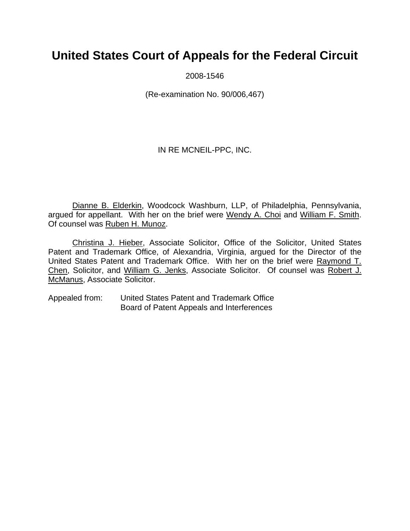# **United States Court of Appeals for the Federal Circuit**

2008-1546

(Re-examination No. 90/006,467)

IN RE MCNEIL-PPC, INC.

Dianne B. Elderkin, Woodcock Washburn, LLP, of Philadelphia, Pennsylvania, argued for appellant. With her on the brief were Wendy A. Choi and William F. Smith. Of counsel was Ruben H. Munoz.

Christina J. Hieber, Associate Solicitor, Office of the Solicitor, United States Patent and Trademark Office, of Alexandria, Virginia, argued for the Director of the United States Patent and Trademark Office. With her on the brief were Raymond T. Chen, Solicitor, and William G. Jenks, Associate Solicitor. Of counsel was Robert J. McManus, Associate Solicitor.

Appealed from: United States Patent and Trademark Office Board of Patent Appeals and Interferences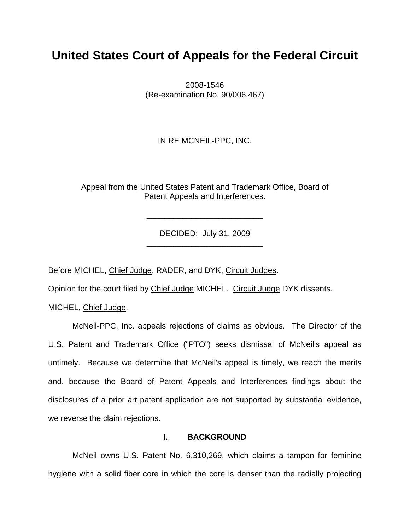## **United States Court of Appeals for the Federal Circuit**

2008-1546 (Re-examination No. 90/006,467)

IN RE MCNEIL-PPC, INC.

Appeal from the United States Patent and Trademark Office, Board of Patent Appeals and Interferences.

> DECIDED: July 31, 2009 \_\_\_\_\_\_\_\_\_\_\_\_\_\_\_\_\_\_\_\_\_\_\_\_\_\_

> \_\_\_\_\_\_\_\_\_\_\_\_\_\_\_\_\_\_\_\_\_\_\_\_\_\_

Before MICHEL, Chief Judge, RADER, and DYK, Circuit Judges.

Opinion for the court filed by Chief Judge MICHEL. Circuit Judge DYK dissents.

MICHEL, Chief Judge.

McNeil-PPC, Inc. appeals rejections of claims as obvious. The Director of the U.S. Patent and Trademark Office ("PTO") seeks dismissal of McNeil's appeal as untimely. Because we determine that McNeil's appeal is timely, we reach the merits and, because the Board of Patent Appeals and Interferences findings about the disclosures of a prior art patent application are not supported by substantial evidence, we reverse the claim rejections.

### **I. BACKGROUND**

McNeil owns U.S. Patent No. 6,310,269, which claims a tampon for feminine hygiene with a solid fiber core in which the core is denser than the radially projecting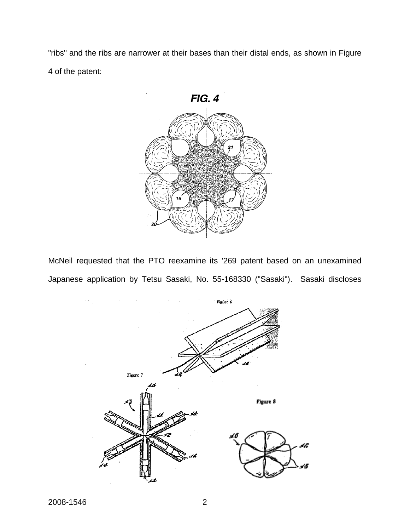"ribs" and the ribs are narrower at their bases than their distal ends, as shown in Figure 4 of the patent:



McNeil requested that the PTO reexamine its '269 patent based on an unexamined Japanese application by Tetsu Sasaki, No. 55-168330 ("Sasaki"). Sasaki discloses

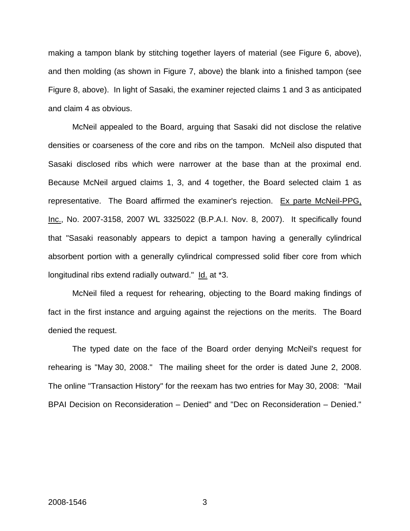making a tampon blank by stitching together layers of material (see Figure 6, above), and then molding (as shown in Figure 7, above) the blank into a finished tampon (see Figure 8, above). In light of Sasaki, the examiner rejected claims 1 and 3 as anticipated and claim 4 as obvious.

McNeil appealed to the Board, arguing that Sasaki did not disclose the relative densities or coarseness of the core and ribs on the tampon. McNeil also disputed that Sasaki disclosed ribs which were narrower at the base than at the proximal end. Because McNeil argued claims 1, 3, and 4 together, the Board selected claim 1 as representative. The Board affirmed the examiner's rejection. Ex parte McNeil-PPG, Inc., No. 2007-3158, 2007 WL 3325022 (B.P.A.I. Nov. 8, 2007). It specifically found that "Sasaki reasonably appears to depict a tampon having a generally cylindrical absorbent portion with a generally cylindrical compressed solid fiber core from which longitudinal ribs extend radially outward." Id. at \*3.

 McNeil filed a request for rehearing, objecting to the Board making findings of fact in the first instance and arguing against the rejections on the merits. The Board denied the request.

The typed date on the face of the Board order denying McNeil's request for rehearing is "May 30, 2008." The mailing sheet for the order is dated June 2, 2008. The online "Transaction History" for the reexam has two entries for May 30, 2008: "Mail BPAI Decision on Reconsideration – Denied" and "Dec on Reconsideration – Denied."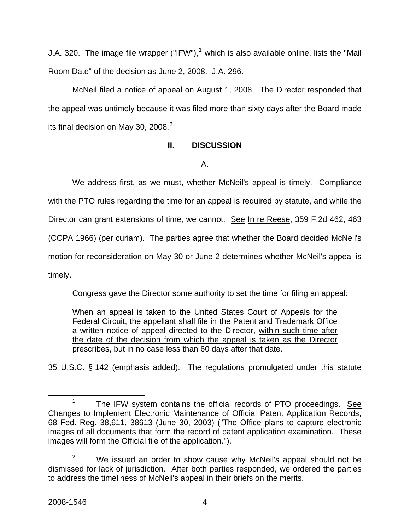J.A. 320. The image file wrapper ("IFW"),<sup>[1](#page-4-0)</sup> which is also available online, lists the "Mail Room Date" of the decision as June 2, 2008. J.A. 296.

McNeil filed a notice of appeal on August 1, 2008. The Director responded that the appeal was untimely because it was filed more than sixty days after the Board made its final decision on May 30, [2](#page-4-1)008. $^2$ 

## **II. DISCUSSION**

A.

We address first, as we must, whether McNeil's appeal is timely. Compliance with the PTO rules regarding the time for an appeal is required by statute, and while the Director can grant extensions of time, we cannot. See In re Reese, 359 F.2d 462, 463 (CCPA 1966) (per curiam). The parties agree that whether the Board decided McNeil's motion for reconsideration on May 30 or June 2 determines whether McNeil's appeal is timely.

Congress gave the Director some authority to set the time for filing an appeal:

When an appeal is taken to the United States Court of Appeals for the Federal Circuit, the appellant shall file in the Patent and Trademark Office a written notice of appeal directed to the Director, within such time after the date of the decision from which the appeal is taken as the Director prescribes, but in no case less than 60 days after that date.

35 U.S.C. § 142 (emphasis added). The regulations promulgated under this statute

<span id="page-4-0"></span> $\frac{1}{1}$  $1$  The IFW system contains the official records of PTO proceedings. See Changes to Implement Electronic Maintenance of Official Patent Application Records, 68 Fed. Reg. 38,611, 38613 (June 30, 2003) ("The Office plans to capture electronic images of all documents that form the record of patent application examination. These images will form the Official file of the application.").

<span id="page-4-1"></span><sup>2</sup> We issued an order to show cause why McNeil's appeal should not be dismissed for lack of jurisdiction. After both parties responded, we ordered the parties to address the timeliness of McNeil's appeal in their briefs on the merits.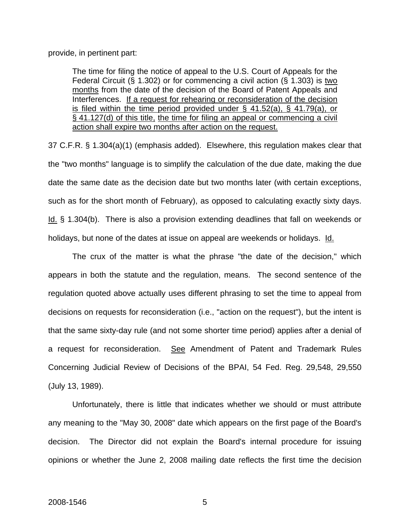provide, in pertinent part:

The time for filing the notice of appeal to the U.S. Court of Appeals for the Federal Circuit (§ 1.302) or for commencing a civil action (§ 1.303) is two months from the date of the decision of the Board of Patent Appeals and Interferences. If a request for rehearing or reconsideration of the decision is filed within the time period provided under  $\S$  41.52(a),  $\S$  41.79(a), or § 41.127(d) of this title, the time for filing an appeal or commencing a civil action shall expire two months after action on the request.

37 C.F.R. § 1.304(a)(1) (emphasis added). Elsewhere, this regulation makes clear that the "two months" language is to simplify the calculation of the due date, making the due date the same date as the decision date but two months later (with certain exceptions, such as for the short month of February), as opposed to calculating exactly sixty days. Id. § 1.304(b). There is also a provision extending deadlines that fall on weekends or holidays, but none of the dates at issue on appeal are weekends or holidays. Id.

 The crux of the matter is what the phrase "the date of the decision," which appears in both the statute and the regulation, means. The second sentence of the regulation quoted above actually uses different phrasing to set the time to appeal from decisions on requests for reconsideration (i.e., "action on the request"), but the intent is that the same sixty-day rule (and not some shorter time period) applies after a denial of a request for reconsideration. See Amendment of Patent and Trademark Rules Concerning Judicial Review of Decisions of the BPAI, 54 Fed. Reg. 29,548, 29,550 (July 13, 1989).

Unfortunately, there is little that indicates whether we should or must attribute any meaning to the "May 30, 2008" date which appears on the first page of the Board's decision. The Director did not explain the Board's internal procedure for issuing opinions or whether the June 2, 2008 mailing date reflects the first time the decision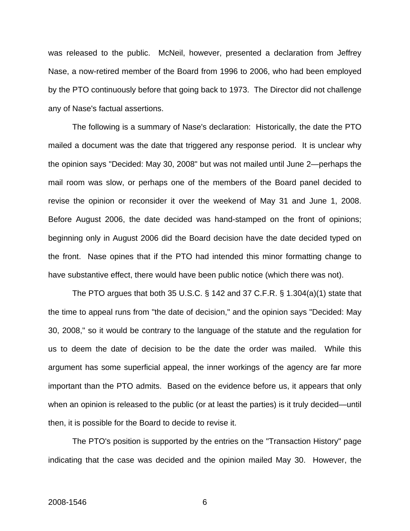was released to the public. McNeil, however, presented a declaration from Jeffrey Nase, a now-retired member of the Board from 1996 to 2006, who had been employed by the PTO continuously before that going back to 1973. The Director did not challenge any of Nase's factual assertions.

The following is a summary of Nase's declaration: Historically, the date the PTO mailed a document was the date that triggered any response period. It is unclear why the opinion says "Decided: May 30, 2008" but was not mailed until June 2—perhaps the mail room was slow, or perhaps one of the members of the Board panel decided to revise the opinion or reconsider it over the weekend of May 31 and June 1, 2008. Before August 2006, the date decided was hand-stamped on the front of opinions; beginning only in August 2006 did the Board decision have the date decided typed on the front. Nase opines that if the PTO had intended this minor formatting change to have substantive effect, there would have been public notice (which there was not).

The PTO argues that both 35 U.S.C.  $\S$  142 and 37 C.F.R.  $\S$  1.304(a)(1) state that the time to appeal runs from "the date of decision," and the opinion says "Decided: May 30, 2008," so it would be contrary to the language of the statute and the regulation for us to deem the date of decision to be the date the order was mailed. While this argument has some superficial appeal, the inner workings of the agency are far more important than the PTO admits. Based on the evidence before us, it appears that only when an opinion is released to the public (or at least the parties) is it truly decided—until then, it is possible for the Board to decide to revise it.

The PTO's position is supported by the entries on the "Transaction History" page indicating that the case was decided and the opinion mailed May 30. However, the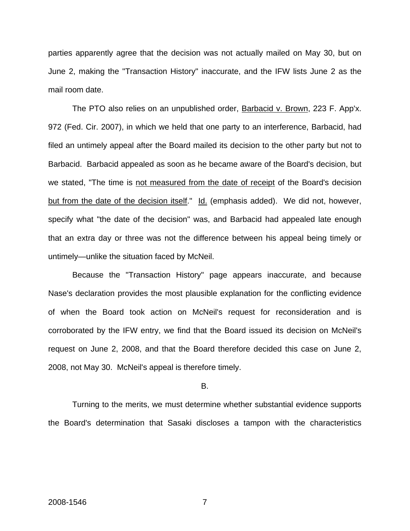parties apparently agree that the decision was not actually mailed on May 30, but on June 2, making the "Transaction History" inaccurate, and the IFW lists June 2 as the mail room date.

The PTO also relies on an unpublished order, Barbacid v. Brown, 223 F. App'x. 972 (Fed. Cir. 2007), in which we held that one party to an interference, Barbacid, had filed an untimely appeal after the Board mailed its decision to the other party but not to Barbacid. Barbacid appealed as soon as he became aware of the Board's decision, but we stated, "The time is not measured from the date of receipt of the Board's decision but from the date of the decision itself." Id. (emphasis added). We did not, however, specify what "the date of the decision" was, and Barbacid had appealed late enough that an extra day or three was not the difference between his appeal being timely or untimely—unlike the situation faced by McNeil.

Because the "Transaction History" page appears inaccurate, and because Nase's declaration provides the most plausible explanation for the conflicting evidence of when the Board took action on McNeil's request for reconsideration and is corroborated by the IFW entry, we find that the Board issued its decision on McNeil's request on June 2, 2008, and that the Board therefore decided this case on June 2, 2008, not May 30. McNeil's appeal is therefore timely.

#### B.

Turning to the merits, we must determine whether substantial evidence supports the Board's determination that Sasaki discloses a tampon with the characteristics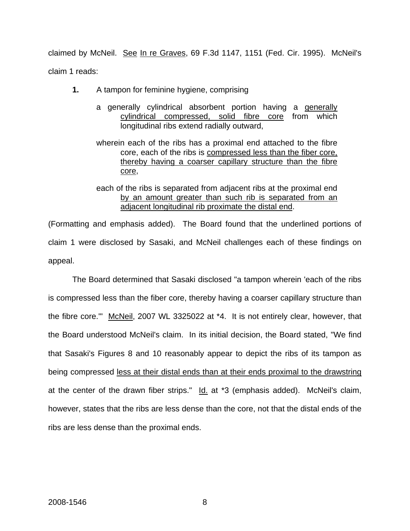claimed by McNeil. See In re Graves, 69 F.3d 1147, 1151 (Fed. Cir. 1995). McNeil's claim 1 reads:

- **1.** A tampon for feminine hygiene, comprising
	- a generally cylindrical absorbent portion having a generally cylindrical compressed, solid fibre core from which longitudinal ribs extend radially outward,
	- wherein each of the ribs has a proximal end attached to the fibre core, each of the ribs is compressed less than the fiber core, thereby having a coarser capillary structure than the fibre core,
	- each of the ribs is separated from adjacent ribs at the proximal end by an amount greater than such rib is separated from an adjacent longitudinal rib proximate the distal end.

(Formatting and emphasis added). The Board found that the underlined portions of claim 1 were disclosed by Sasaki, and McNeil challenges each of these findings on appeal.

The Board determined that Sasaki disclosed "a tampon wherein 'each of the ribs is compressed less than the fiber core, thereby having a coarser capillary structure than the fibre core.'" McNeil, 2007 WL 3325022 at \*4. It is not entirely clear, however, that the Board understood McNeil's claim. In its initial decision, the Board stated, "We find that Sasaki's Figures 8 and 10 reasonably appear to depict the ribs of its tampon as being compressed less at their distal ends than at their ends proximal to the drawstring at the center of the drawn fiber strips."  $\underline{Id}$  at \*3 (emphasis added). McNeil's claim, however, states that the ribs are less dense than the core, not that the distal ends of the ribs are less dense than the proximal ends.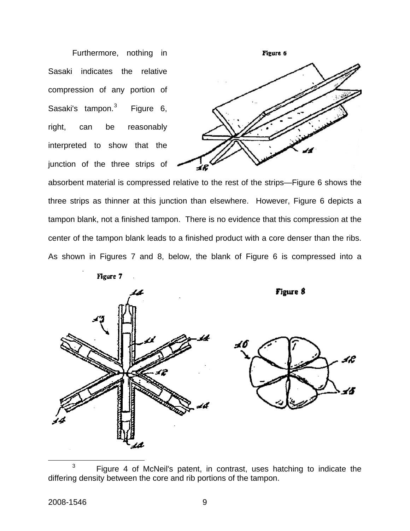Furthermore, nothing in Sasaki indicates the relative compression of any portion of Sasaki's tampon.<sup>[3](#page-9-0)</sup> Figure 6, right, can be reasonably interpreted to show that the junction of the three strips of



absorbent material is compressed relative to the rest of the strips—Figure 6 shows the three strips as thinner at this junction than elsewhere. However, Figure 6 depicts a tampon blank, not a finished tampon. There is no evidence that this compression at the center of the tampon blank leads to a finished product with a core denser than the ribs. As shown in Figures 7 and 8, below, the blank of Figure 6 is compressed into a







<span id="page-9-0"></span> <sup>3</sup>  $3$  Figure 4 of McNeil's patent, in contrast, uses hatching to indicate the differing density between the core and rib portions of the tampon.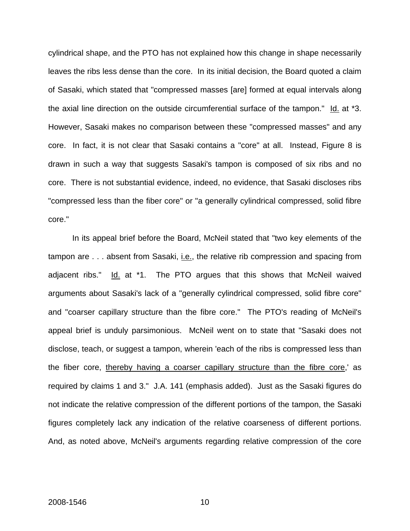cylindrical shape, and the PTO has not explained how this change in shape necessarily leaves the ribs less dense than the core. In its initial decision, the Board quoted a claim of Sasaki, which stated that "compressed masses [are] formed at equal intervals along the axial line direction on the outside circumferential surface of the tampon."  $\text{Id.}$  at \*3. However, Sasaki makes no comparison between these "compressed masses" and any core. In fact, it is not clear that Sasaki contains a "core" at all. Instead, Figure 8 is drawn in such a way that suggests Sasaki's tampon is composed of six ribs and no core. There is not substantial evidence, indeed, no evidence, that Sasaki discloses ribs "compressed less than the fiber core" or "a generally cylindrical compressed, solid fibre core."

In its appeal brief before the Board, McNeil stated that "two key elements of the tampon are . . . absent from Sasaki, i.e., the relative rib compression and spacing from adjacent ribs." Id. at \*1. The PTO argues that this shows that McNeil waived arguments about Sasaki's lack of a "generally cylindrical compressed, solid fibre core" and "coarser capillary structure than the fibre core." The PTO's reading of McNeil's appeal brief is unduly parsimonious. McNeil went on to state that "Sasaki does not disclose, teach, or suggest a tampon, wherein 'each of the ribs is compressed less than the fiber core, thereby having a coarser capillary structure than the fibre core,' as required by claims 1 and 3." J.A. 141 (emphasis added). Just as the Sasaki figures do not indicate the relative compression of the different portions of the tampon, the Sasaki figures completely lack any indication of the relative coarseness of different portions. And, as noted above, McNeil's arguments regarding relative compression of the core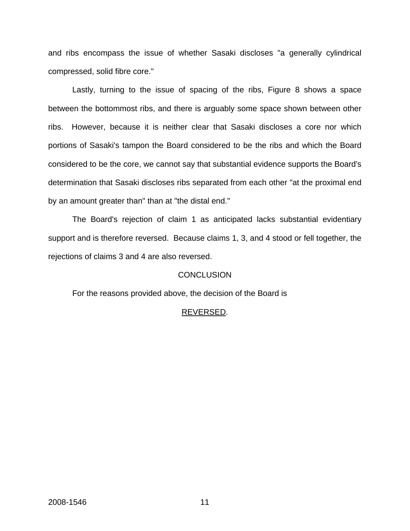and ribs encompass the issue of whether Sasaki discloses "a generally cylindrical compressed, solid fibre core."

 Lastly, turning to the issue of spacing of the ribs, Figure 8 shows a space between the bottommost ribs, and there is arguably some space shown between other ribs. However, because it is neither clear that Sasaki discloses a core nor which portions of Sasaki's tampon the Board considered to be the ribs and which the Board considered to be the core, we cannot say that substantial evidence supports the Board's determination that Sasaki discloses ribs separated from each other "at the proximal end by an amount greater than" than at "the distal end."

 The Board's rejection of claim 1 as anticipated lacks substantial evidentiary support and is therefore reversed. Because claims 1, 3, and 4 stood or fell together, the rejections of claims 3 and 4 are also reversed.

## CONCLUSION

For the reasons provided above, the decision of the Board is

## REVERSED.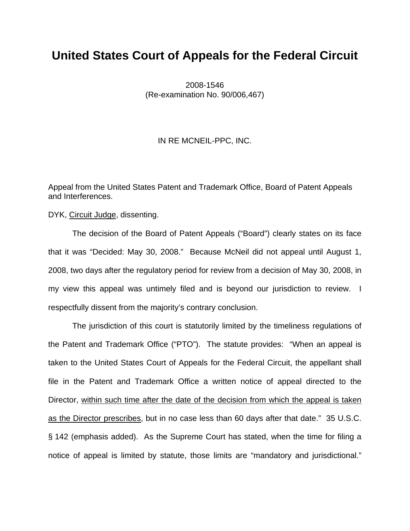## **United States Court of Appeals for the Federal Circuit**

2008-1546 (Re-examination No. 90/006,467)

IN RE MCNEIL-PPC, INC.

Appeal from the United States Patent and Trademark Office, Board of Patent Appeals and Interferences.

DYK, Circuit Judge, dissenting.

The decision of the Board of Patent Appeals ("Board") clearly states on its face that it was "Decided: May 30, 2008." Because McNeil did not appeal until August 1, 2008, two days after the regulatory period for review from a decision of May 30, 2008, in my view this appeal was untimely filed and is beyond our jurisdiction to review. I respectfully dissent from the majority's contrary conclusion.

The jurisdiction of this court is statutorily limited by the timeliness regulations of the Patent and Trademark Office ("PTO"). The statute provides: "When an appeal is taken to the United States Court of Appeals for the Federal Circuit, the appellant shall file in the Patent and Trademark Office a written notice of appeal directed to the Director, within such time after the date of the decision from which the appeal is taken as the Director prescribes, but in no case less than 60 days after that date." 35 U.S.C. § 142 (emphasis added). As the Supreme Court has stated, when the time for filing a notice of appeal is limited by statute, those limits are "mandatory and jurisdictional."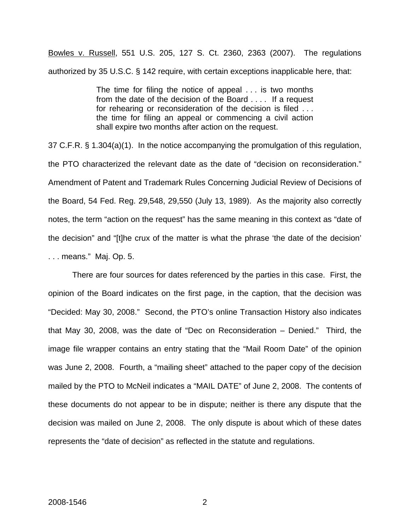Bowles v. Russell, 551 U.S. 205, 127 S. Ct. 2360, 2363 (2007). The regulations authorized by 35 U.S.C. § 142 require, with certain exceptions inapplicable here, that:

> The time for filing the notice of appeal . . . is two months from the date of the decision of the Board . . . . If a request for rehearing or reconsideration of the decision is filed . . . the time for filing an appeal or commencing a civil action shall expire two months after action on the request.

37 C.F.R. § 1.304(a)(1). In the notice accompanying the promulgation of this regulation, the PTO characterized the relevant date as the date of "decision on reconsideration." Amendment of Patent and Trademark Rules Concerning Judicial Review of Decisions of the Board, 54 Fed. Reg. 29,548, 29,550 (July 13, 1989). As the majority also correctly notes, the term "action on the request" has the same meaning in this context as "date of the decision" and "[t]he crux of the matter is what the phrase 'the date of the decision' . . . means." Maj. Op. 5.

There are four sources for dates referenced by the parties in this case. First, the opinion of the Board indicates on the first page, in the caption, that the decision was "Decided: May 30, 2008." Second, the PTO's online Transaction History also indicates that May 30, 2008, was the date of "Dec on Reconsideration – Denied." Third, the image file wrapper contains an entry stating that the "Mail Room Date" of the opinion was June 2, 2008. Fourth, a "mailing sheet" attached to the paper copy of the decision mailed by the PTO to McNeil indicates a "MAIL DATE" of June 2, 2008. The contents of these documents do not appear to be in dispute; neither is there any dispute that the decision was mailed on June 2, 2008. The only dispute is about which of these dates represents the "date of decision" as reflected in the statute and regulations.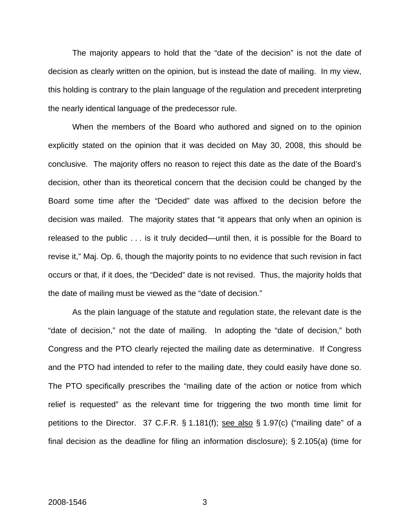The majority appears to hold that the "date of the decision" is not the date of decision as clearly written on the opinion, but is instead the date of mailing. In my view, this holding is contrary to the plain language of the regulation and precedent interpreting the nearly identical language of the predecessor rule.

When the members of the Board who authored and signed on to the opinion explicitly stated on the opinion that it was decided on May 30, 2008, this should be conclusive. The majority offers no reason to reject this date as the date of the Board's decision, other than its theoretical concern that the decision could be changed by the Board some time after the "Decided" date was affixed to the decision before the decision was mailed. The majority states that "it appears that only when an opinion is released to the public . . . is it truly decided—until then, it is possible for the Board to revise it," Maj. Op. 6, though the majority points to no evidence that such revision in fact occurs or that, if it does, the "Decided" date is not revised. Thus, the majority holds that the date of mailing must be viewed as the "date of decision."

As the plain language of the statute and regulation state, the relevant date is the "date of decision," not the date of mailing. In adopting the "date of decision," both Congress and the PTO clearly rejected the mailing date as determinative. If Congress and the PTO had intended to refer to the mailing date, they could easily have done so. The PTO specifically prescribes the "mailing date of the action or notice from which relief is requested" as the relevant time for triggering the two month time limit for petitions to the Director. 37 C.F.R. § 1.181(f); see also § 1.97(c) ("mailing date" of a final decision as the deadline for filing an information disclosure); § 2.105(a) (time for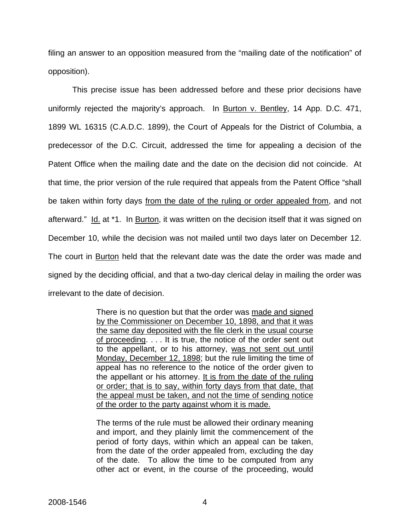filing an answer to an opposition measured from the "mailing date of the notification" of opposition).

This precise issue has been addressed before and these prior decisions have uniformly rejected the majority's approach. In Burton v. Bentley, 14 App. D.C. 471, 1899 WL 16315 (C.A.D.C. 1899), the Court of Appeals for the District of Columbia, a predecessor of the D.C. Circuit, addressed the time for appealing a decision of the Patent Office when the mailing date and the date on the decision did not coincide. At that time, the prior version of the rule required that appeals from the Patent Office "shall be taken within forty days from the date of the ruling or order appealed from, and not afterward." Id. at \*1. In Burton, it was written on the decision itself that it was signed on December 10, while the decision was not mailed until two days later on December 12. The court in Burton held that the relevant date was the date the order was made and signed by the deciding official, and that a two-day clerical delay in mailing the order was irrelevant to the date of decision.

> There is no question but that the order was made and signed by the Commissioner on December 10, 1898, and that it was the same day deposited with the file clerk in the usual course of proceeding. . . . It is true, the notice of the order sent out to the appellant, or to his attorney, was not sent out until Monday, December 12, 1898; but the rule limiting the time of appeal has no reference to the notice of the order given to the appellant or his attorney. It is from the date of the ruling or order; that is to say, within forty days from that date, that the appeal must be taken, and not the time of sending notice of the order to the party against whom it is made.

> The terms of the rule must be allowed their ordinary meaning and import, and they plainly limit the commencement of the period of forty days, within which an appeal can be taken, from the date of the order appealed from, excluding the day of the date. To allow the time to be computed from any other act or event, in the course of the proceeding, would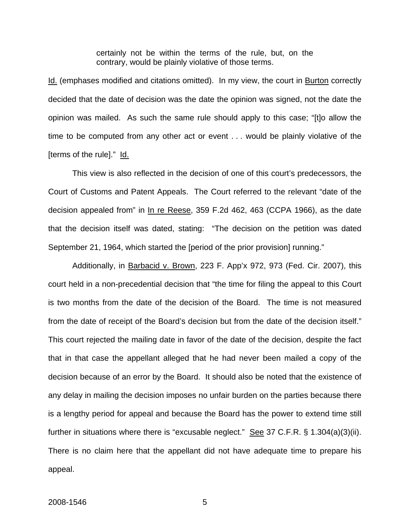certainly not be within the terms of the rule, but, on the contrary, would be plainly violative of those terms.

Id. (emphases modified and citations omitted). In my view, the court in Burton correctly decided that the date of decision was the date the opinion was signed, not the date the opinion was mailed. As such the same rule should apply to this case; "[t]o allow the time to be computed from any other act or event . . . would be plainly violative of the [terms of the rule]." Id.

This view is also reflected in the decision of one of this court's predecessors, the Court of Customs and Patent Appeals. The Court referred to the relevant "date of the decision appealed from" in In re Reese, 359 F.2d 462, 463 (CCPA 1966), as the date that the decision itself was dated, stating: "The decision on the petition was dated September 21, 1964, which started the [period of the prior provision] running."

Additionally, in Barbacid v. Brown, 223 F. App'x 972, 973 (Fed. Cir. 2007), this court held in a non-precedential decision that "the time for filing the appeal to this Court is two months from the date of the decision of the Board. The time is not measured from the date of receipt of the Board's decision but from the date of the decision itself." This court rejected the mailing date in favor of the date of the decision, despite the fact that in that case the appellant alleged that he had never been mailed a copy of the decision because of an error by the Board. It should also be noted that the existence of any delay in mailing the decision imposes no unfair burden on the parties because there is a lengthy period for appeal and because the Board has the power to extend time still further in situations where there is "excusable neglect." See 37 C.F.R.  $\S$  1.304(a)(3)(ii). There is no claim here that the appellant did not have adequate time to prepare his appeal.